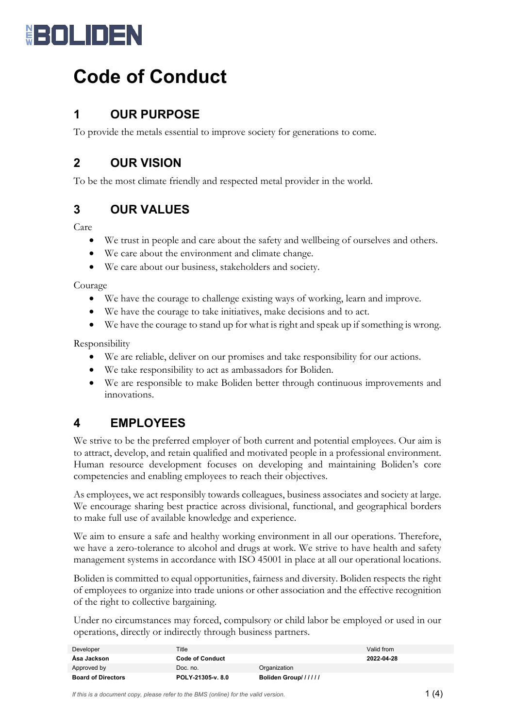

# **Code of Conduct**

# **1 OUR PURPOSE**

To provide the metals essential to improve society for generations to come.

# **2 OUR VISION**

To be the most climate friendly and respected metal provider in the world.

# **3 OUR VALUES**

#### Care

- We trust in people and care about the safety and wellbeing of ourselves and others.
- We care about the environment and climate change.
- We care about our business, stakeholders and society.

Courage

- We have the courage to challenge existing ways of working, learn and improve.
- We have the courage to take initiatives, make decisions and to act.
- We have the courage to stand up for what is right and speak up if something is wrong.

Responsibility

- We are reliable, deliver on our promises and take responsibility for our actions.
- We take responsibility to act as ambassadors for Boliden.
- We are responsible to make Boliden better through continuous improvements and innovations.

#### **4 EMPLOYEES**

We strive to be the preferred employer of both current and potential employees. Our aim is to attract, develop, and retain qualified and motivated people in a professional environment. Human resource development focuses on developing and maintaining Boliden's core competencies and enabling employees to reach their objectives.

As employees, we act responsibly towards colleagues, business associates and society at large. We encourage sharing best practice across divisional, functional, and geographical borders to make full use of available knowledge and experience.

We aim to ensure a safe and healthy working environment in all our operations. Therefore, we have a zero-tolerance to alcohol and drugs at work. We strive to have health and safety management systems in accordance with ISO 45001 in place at all our operational locations.

Boliden is committed to equal opportunities, fairness and diversity. Boliden respects the right of employees to organize into trade unions or other association and the effective recognition of the right to collective bargaining.

Under no circumstances may forced, compulsory or child labor be employed or used in our operations, directly or indirectly through business partners.

| Developer                 | Title                  |                     | Valid from |
|---------------------------|------------------------|---------------------|------------|
| Asa Jackson               | <b>Code of Conduct</b> |                     | 2022-04-28 |
| Approved by               | Doc. no.               | Organization        |            |
| <b>Board of Directors</b> | POLY-21305-v. 8.0      | Boliden Group////// |            |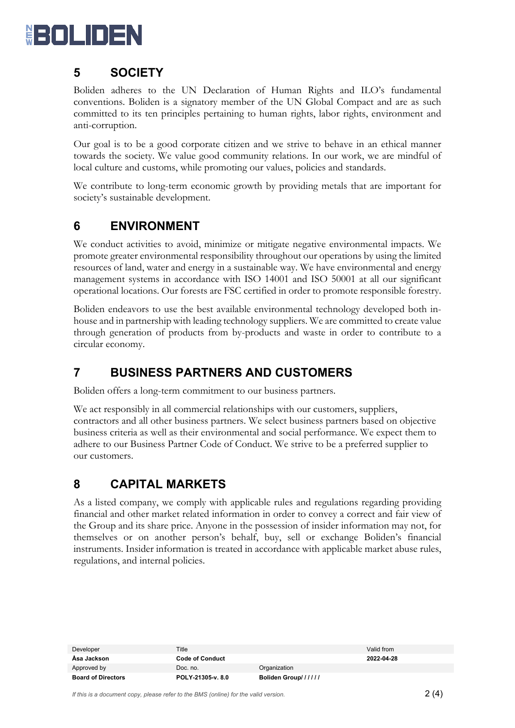

# **5 SOCIETY**

Boliden adheres to the UN Declaration of Human Rights and ILO's fundamental conventions. Boliden is a signatory member of the UN Global Compact and are as such committed to its ten principles pertaining to human rights, labor rights, environment and anti-corruption.

Our goal is to be a good corporate citizen and we strive to behave in an ethical manner towards the society. We value good community relations. In our work, we are mindful of local culture and customs, while promoting our values, policies and standards.

We contribute to long-term economic growth by providing metals that are important for society's sustainable development.

# **6 ENVIRONMENT**

We conduct activities to avoid, minimize or mitigate negative environmental impacts. We promote greater environmental responsibility throughout our operations by using the limited resources of land, water and energy in a sustainable way. We have environmental and energy management systems in accordance with ISO 14001 and ISO 50001 at all our significant operational locations. Our forests are FSC certified in order to promote responsible forestry.

Boliden endeavors to use the best available environmental technology developed both inhouse and in partnership with leading technology suppliers. We are committed to create value through generation of products from by-products and waste in order to contribute to a circular economy.

## **7 BUSINESS PARTNERS AND CUSTOMERS**

Boliden offers a long-term commitment to our business partners.

We act responsibly in all commercial relationships with our customers, suppliers, contractors and all other business partners. We select business partners based on objective business criteria as well as their environmental and social performance. We expect them to adhere to our Business Partner Code of Conduct. We strive to be a preferred supplier to our customers.

## **8 CAPITAL MARKETS**

As a listed company, we comply with applicable rules and regulations regarding providing financial and other market related information in order to convey a correct and fair view of the Group and its share price. Anyone in the possession of insider information may not, for themselves or on another person's behalf, buy, sell or exchange Boliden's financial instruments. Insider information is treated in accordance with applicable market abuse rules, regulations, and internal policies.

| Developer                 | Title                  |                     | Valid from |
|---------------------------|------------------------|---------------------|------------|
| Asa Jackson               | <b>Code of Conduct</b> |                     | 2022-04-28 |
| Approved by               | Doc. no.               | Organization        |            |
| <b>Board of Directors</b> | POLY-21305-v. 8.0      | Boliden Group////// |            |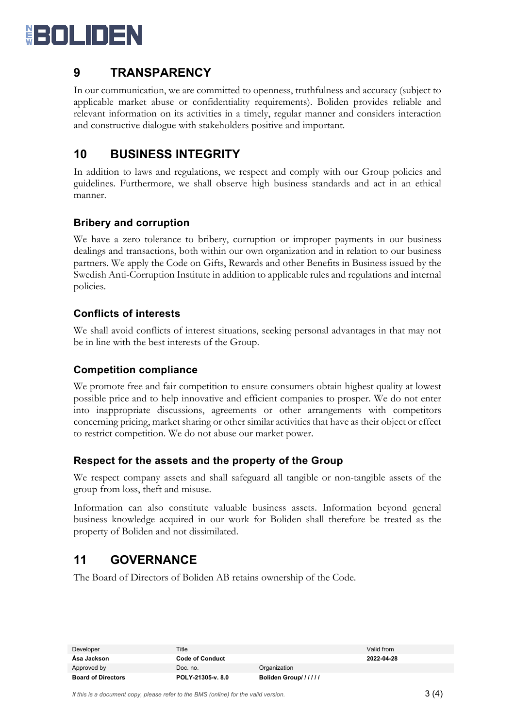

### **9 TRANSPARENCY**

In our communication, we are committed to openness, truthfulness and accuracy (subject to applicable market abuse or confidentiality requirements). Boliden provides reliable and relevant information on its activities in a timely, regular manner and considers interaction and constructive dialogue with stakeholders positive and important.

## **10 BUSINESS INTEGRITY**

In addition to laws and regulations, we respect and comply with our Group policies and guidelines. Furthermore, we shall observe high business standards and act in an ethical manner.

#### **Bribery and corruption**

We have a zero tolerance to bribery, corruption or improper payments in our business dealings and transactions, both within our own organization and in relation to our business partners. We apply the Code on Gifts, Rewards and other Benefits in Business issued by the Swedish Anti-Corruption Institute in addition to applicable rules and regulations and internal policies.

#### **Conflicts of interests**

We shall avoid conflicts of interest situations, seeking personal advantages in that may not be in line with the best interests of the Group.

#### **Competition compliance**

We promote free and fair competition to ensure consumers obtain highest quality at lowest possible price and to help innovative and efficient companies to prosper. We do not enter into inappropriate discussions, agreements or other arrangements with competitors concerning pricing, market sharing or other similar activities that have as their object or effect to restrict competition. We do not abuse our market power.

#### **Respect for the assets and the property of the Group**

We respect company assets and shall safeguard all tangible or non-tangible assets of the group from loss, theft and misuse.

Information can also constitute valuable business assets. Information beyond general business knowledge acquired in our work for Boliden shall therefore be treated as the property of Boliden and not dissimilated.

#### **11 GOVERNANCE**

The Board of Directors of Boliden AB retains ownership of the Code.

| Developer                 | Title             |                     | Valid from |
|---------------------------|-------------------|---------------------|------------|
| Asa Jackson               | Code of Conduct   |                     | 2022-04-28 |
| Approved by               | Doc. no.          | Organization        |            |
| <b>Board of Directors</b> | POLY-21305-v. 8.0 | Boliden Group////// |            |